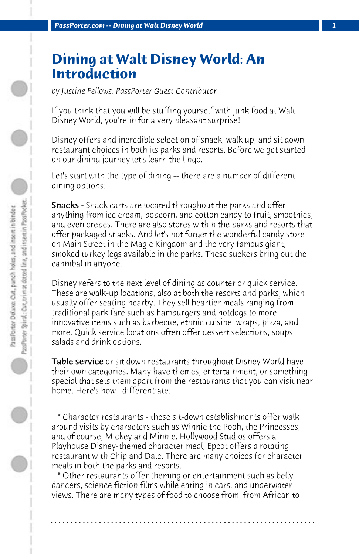## **Dining at Walt Disney World: An Introduction**

*by Justine Fellows, PassPorter Guest Contributor*

If you think that you will be stuffing yourself with junk food at Walt Disney World, you're in for a very pleasant surprise!

Disney offers and incredible selection of snack, walk up, and sit down restaurant choices in both its parks and resorts. Before we get started on our dining journey let's learn the lingo.

Let's start with the type of dining -- there are a number of different dining options:

**Snacks** - Snack carts are located throughout the parks and offer anything from ice cream, popcorn, and cotton candy to fruit, smoothies, and even crepes. There are also stores within the parks and resorts that offer packaged snacks. And let's not forget the wonderful candy store on Main Street in the Magic Kingdom and the very famous giant, smoked turkey legs available in the parks. These suckers bring out the cannibal in anyone.

Disney refers to the next level of dining as counter or quick service. These are walk-up locations, also at both the resorts and parks, which usually offer seating nearby. They sell heartier meals ranging from traditional park fare such as hamburgers and hotdogs to more innovative items such as barbecue, ethnic cuisine, wraps, pizza, and more. Quick service locations often offer dessert selections, soups, salads and drink options.

**Table service** or sit down restaurants throughout Disney World have their own categories. Many have themes, entertainment, or something special that sets them apart from the restaurants that you can visit near home. Here's how I differentiate:

 \* Character restaurants - these sit-down establishments offer walk around visits by characters such as Winnie the Pooh, the Princesses, and of course, Mickey and Minnie. Hollywood Studios offers a Playhouse Disney-themed character meal, Epcot offers a rotating restaurant with Chip and Dale. There are many choices for character meals in both the parks and resorts.

 \* Other restaurants offer theming or entertainment such as belly dancers, science fiction films while eating in cars, and underwater views. There are many types of food to choose from, from African to

**. . . . . . . . . . . . . . . . . . . . . . . . . . . . . . . . . . . . . . . . . . . . . . . . . . . . . . . . . . . . . . . . . .**